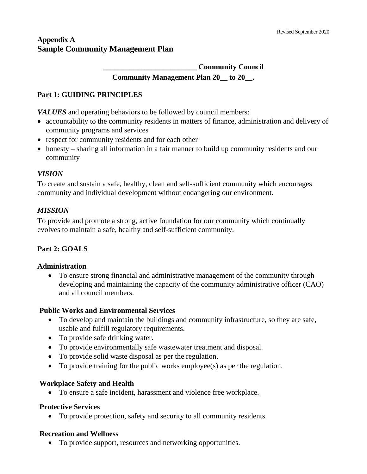# **Appendix A Sample Community Management Plan**

**\_\_\_\_\_\_\_\_\_\_\_\_\_\_\_\_\_\_\_\_\_\_\_\_\_ Community Council**

**Community Management Plan 20\_\_ to 20\_\_.**

### **Part 1: GUIDING PRINCIPLES**

*VALUES* and operating behaviors to be followed by council members:

- accountability to the community residents in matters of finance, administration and delivery of community programs and services
- respect for community residents and for each other
- honesty sharing all information in a fair manner to build up community residents and our community

### *VISION*

To create and sustain a safe, healthy, clean and self-sufficient community which encourages community and individual development without endangering our environment.

### *MISSION*

To provide and promote a strong, active foundation for our community which continually evolves to maintain a safe, healthy and self-sufficient community.

# **Part 2: GOALS**

### **Administration**

• To ensure strong financial and administrative management of the community through developing and maintaining the capacity of the community administrative officer (CAO) and all council members.

### **Public Works and Environmental Services**

- To develop and maintain the buildings and community infrastructure, so they are safe, usable and fulfill regulatory requirements.
- To provide safe drinking water.
- To provide environmentally safe wastewater treatment and disposal.
- To provide solid waste disposal as per the regulation.
- To provide training for the public works employee(s) as per the regulation.

### **Workplace Safety and Health**

• To ensure a safe incident, harassment and violence free workplace.

### **Protective Services**

• To provide protection, safety and security to all community residents.

# **Recreation and Wellness**

• To provide support, resources and networking opportunities.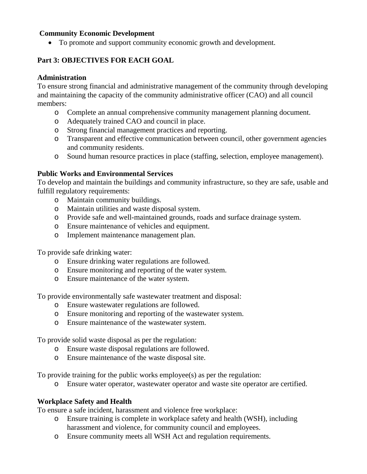### **Community Economic Development**

• To promote and support community economic growth and development.

# **Part 3: OBJECTIVES FOR EACH GOAL**

#### **Administration**

To ensure strong financial and administrative management of the community through developing and maintaining the capacity of the community administrative officer (CAO) and all council members:

- o Complete an annual comprehensive community management planning document.
- o Adequately trained CAO and council in place.
- o Strong financial management practices and reporting.
- o Transparent and effective communication between council, other government agencies and community residents.
- o Sound human resource practices in place (staffing, selection, employee management).

### **Public Works and Environmental Services**

To develop and maintain the buildings and community infrastructure, so they are safe, usable and fulfill regulatory requirements:

- o Maintain community buildings.
- o Maintain utilities and waste disposal system.
- o Provide safe and well-maintained grounds, roads and surface drainage system.
- o Ensure maintenance of vehicles and equipment.
- o Implement maintenance management plan.

To provide safe drinking water:

- o Ensure drinking water regulations are followed.
- o Ensure monitoring and reporting of the water system.
- o Ensure maintenance of the water system.

To provide environmentally safe wastewater treatment and disposal:

- o Ensure wastewater regulations are followed.
- o Ensure monitoring and reporting of the wastewater system.
- o Ensure maintenance of the wastewater system.

To provide solid waste disposal as per the regulation:

- o Ensure waste disposal regulations are followed.
- o Ensure maintenance of the waste disposal site.

To provide training for the public works employee(s) as per the regulation:

o Ensure water operator, wastewater operator and waste site operator are certified.

# **Workplace Safety and Health**

To ensure a safe incident, harassment and violence free workplace:

- o Ensure training is complete in workplace safety and health (WSH), including harassment and violence, for community council and employees.
- o Ensure community meets all WSH Act and regulation requirements.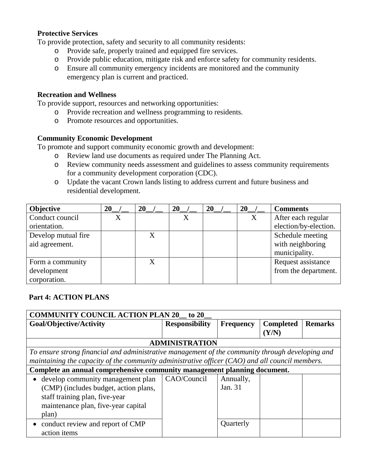### **Protective Services**

To provide protection, safety and security to all community residents:

- o Provide safe, properly trained and equipped fire services.<br>
o Provide public education, mitigate risk and enforce safety
- Provide public education, mitigate risk and enforce safety for community residents.
- o Ensure all community emergency incidents are monitored and the community emergency plan is current and practiced.

### **Recreation and Wellness**

To provide support, resources and networking opportunities:

- o Provide recreation and wellness programming to residents.
- o Promote resources and opportunities.

### **Community Economic Development**

To promote and support community economic growth and development:

- o Review land use documents as required under The Planning Act.
- o Review community needs assessment and guidelines to assess community requirements for a community development corporation (CDC).
- o Update the vacant Crown lands listing to address current and future business and residential development.

| <b>Objective</b>    | 20 | 20 | 20 | 20 | 20 | <b>Comments</b>       |
|---------------------|----|----|----|----|----|-----------------------|
| Conduct council     | X  |    | X  |    | X  | After each regular    |
| orientation.        |    |    |    |    |    | election/by-election. |
| Develop mutual fire |    |    |    |    |    | Schedule meeting      |
| aid agreement.      |    |    |    |    |    | with neighboring      |
|                     |    |    |    |    |    | municipality.         |
| Form a community    |    |    |    |    |    | Request assistance    |
| development         |    |    |    |    |    | from the department.  |
| corporation.        |    |    |    |    |    |                       |

# **Part 4: ACTION PLANS**

| <b>COMMUNITY COUNCIL ACTION PLAN 20_</b><br>to $20$                                               |                       |                  |                  |                |
|---------------------------------------------------------------------------------------------------|-----------------------|------------------|------------------|----------------|
| Goal/Objective/Activity                                                                           | <b>Responsibility</b> | <b>Frequency</b> | <b>Completed</b> | <b>Remarks</b> |
|                                                                                                   |                       |                  | (Y/N)            |                |
|                                                                                                   | <b>ADMINISTRATION</b> |                  |                  |                |
| To ensure strong financial and administrative management of the community through developing and  |                       |                  |                  |                |
| maintaining the capacity of the community administrative officer $(CAO)$ and all council members. |                       |                  |                  |                |
| Complete an annual comprehensive community management planning document.                          |                       |                  |                  |                |
| develop community management plan                                                                 | CAO/Council           | Annually,        |                  |                |
| (CMP) (includes budget, action plans,                                                             |                       | Jan. 31          |                  |                |
| staff training plan, five-year                                                                    |                       |                  |                  |                |
| maintenance plan, five-year capital                                                               |                       |                  |                  |                |
| plan)                                                                                             |                       |                  |                  |                |
| conduct review and report of CMP                                                                  |                       | Quarterly        |                  |                |
| action items                                                                                      |                       |                  |                  |                |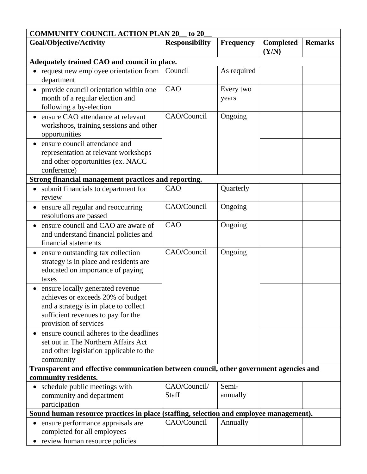| <b>COMMUNITY COUNCIL ACTION PLAN 20</b><br>to 20                                                                                                                              |                              |                    |                           |                |
|-------------------------------------------------------------------------------------------------------------------------------------------------------------------------------|------------------------------|--------------------|---------------------------|----------------|
| Goal/Objective/Activity                                                                                                                                                       | <b>Responsibility</b>        | <b>Frequency</b>   | <b>Completed</b><br>(Y/N) | <b>Remarks</b> |
| Adequately trained CAO and council in place.                                                                                                                                  |                              |                    |                           |                |
| request new employee orientation from<br>department                                                                                                                           | Council                      | As required        |                           |                |
| provide council orientation within one<br>month of a regular election and<br>following a by-election                                                                          | CAO                          | Every two<br>years |                           |                |
| ensure CAO attendance at relevant<br>workshops, training sessions and other<br>opportunities                                                                                  | CAO/Council                  | Ongoing            |                           |                |
| ensure council attendance and<br>representation at relevant workshops<br>and other opportunities (ex. NACC<br>conference)                                                     |                              |                    |                           |                |
| Strong financial management practices and reporting.                                                                                                                          |                              |                    |                           |                |
| submit financials to department for<br>review                                                                                                                                 | CAO                          | Quarterly          |                           |                |
| ensure all regular and reoccurring<br>resolutions are passed                                                                                                                  | CAO/Council                  | Ongoing            |                           |                |
| ensure council and CAO are aware of<br>and understand financial policies and<br>financial statements                                                                          | CAO                          | Ongoing            |                           |                |
| ensure outstanding tax collection<br>strategy is in place and residents are<br>educated on importance of paying<br>taxes                                                      | CAO/Council                  | Ongoing            |                           |                |
| ensure locally generated revenue<br>achieves or exceeds 20% of budget<br>and a strategy is in place to collect<br>sufficient revenues to pay for the<br>provision of services |                              |                    |                           |                |
| ensure council adheres to the deadlines<br>set out in The Northern Affairs Act<br>and other legislation applicable to the<br>community                                        |                              |                    |                           |                |
| Transparent and effective communication between council, other government agencies and<br>community residents.                                                                |                              |                    |                           |                |
| schedule public meetings with<br>$\bullet$<br>community and department<br>participation                                                                                       | CAO/Council/<br><b>Staff</b> | Semi-<br>annually  |                           |                |
| Sound human resource practices in place (staffing, selection and employee management).                                                                                        |                              |                    |                           |                |
| ensure performance appraisals are<br>completed for all employees<br>review human resource policies                                                                            | CAO/Council                  | Annually           |                           |                |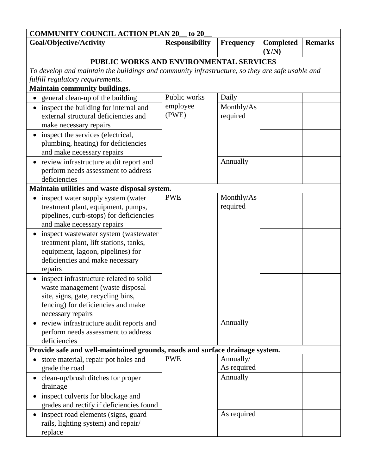| <b>COMMUNITY COUNCIL ACTION PLAN 20</b><br>to $20$                                              |                       |                  |                           |                |
|-------------------------------------------------------------------------------------------------|-----------------------|------------------|---------------------------|----------------|
| Goal/Objective/Activity                                                                         | <b>Responsibility</b> | <b>Frequency</b> | <b>Completed</b><br>(Y/N) | <b>Remarks</b> |
| PUBLIC WORKS AND ENVIRONMENTAL SERVICES                                                         |                       |                  |                           |                |
| To develop and maintain the buildings and community infrastructure, so they are safe usable and |                       |                  |                           |                |
| fulfill regulatory requirements.                                                                |                       |                  |                           |                |
| Maintain community buildings.                                                                   |                       |                  |                           |                |
| • general clean-up of the building                                                              | Public works          | Daily            |                           |                |
| inspect the building for internal and                                                           | employee              | Monthly/As       |                           |                |
| external structural deficiencies and                                                            | (PWE)                 | required         |                           |                |
| make necessary repairs                                                                          |                       |                  |                           |                |
| inspect the services (electrical,                                                               |                       |                  |                           |                |
| plumbing, heating) for deficiencies                                                             |                       |                  |                           |                |
| and make necessary repairs                                                                      |                       |                  |                           |                |
| review infrastructure audit report and                                                          |                       | Annually         |                           |                |
| perform needs assessment to address                                                             |                       |                  |                           |                |
| deficiencies                                                                                    |                       |                  |                           |                |
| Maintain utilities and waste disposal system.                                                   |                       |                  |                           |                |
| inspect water supply system (water                                                              | <b>PWE</b>            | Monthly/As       |                           |                |
| treatment plant, equipment, pumps,                                                              |                       | required         |                           |                |
| pipelines, curb-stops) for deficiencies                                                         |                       |                  |                           |                |
| and make necessary repairs                                                                      |                       |                  |                           |                |
| inspect wastewater system (wastewater                                                           |                       |                  |                           |                |
| treatment plant, lift stations, tanks,                                                          |                       |                  |                           |                |
| equipment, lagoon, pipelines) for                                                               |                       |                  |                           |                |
| deficiencies and make necessary                                                                 |                       |                  |                           |                |
| repairs                                                                                         |                       |                  |                           |                |
| inspect infrastructure related to solid                                                         |                       |                  |                           |                |
| waste management (waste disposal                                                                |                       |                  |                           |                |
| site, signs, gate, recycling bins,                                                              |                       |                  |                           |                |
| fencing) for deficiencies and make<br>necessary repairs                                         |                       |                  |                           |                |
|                                                                                                 |                       | Annually         |                           |                |
| review infrastructure audit reports and<br>perform needs assessment to address                  |                       |                  |                           |                |
| deficiencies                                                                                    |                       |                  |                           |                |
| Provide safe and well-maintained grounds, roads and surface drainage system.                    |                       |                  |                           |                |
| store material, repair pot holes and                                                            | <b>PWE</b>            | Annually/        |                           |                |
| grade the road                                                                                  |                       | As required      |                           |                |
| clean-up/brush ditches for proper                                                               |                       | Annually         |                           |                |
| drainage                                                                                        |                       |                  |                           |                |
| inspect culverts for blockage and                                                               |                       |                  |                           |                |
| grades and rectify if deficiencies found                                                        |                       |                  |                           |                |
| inspect road elements (signs, guard                                                             |                       | As required      |                           |                |
| rails, lighting system) and repair/                                                             |                       |                  |                           |                |
| replace                                                                                         |                       |                  |                           |                |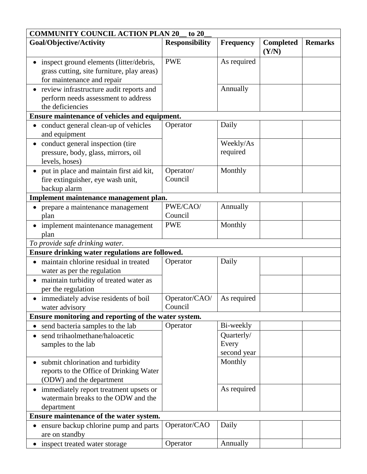| <b>COMMUNITY COUNCIL ACTION PLAN 20</b><br>to 20                                 |                       |                  |                           |                |
|----------------------------------------------------------------------------------|-----------------------|------------------|---------------------------|----------------|
| Goal/Objective/Activity                                                          | <b>Responsibility</b> | <b>Frequency</b> | <b>Completed</b><br>(Y/N) | <b>Remarks</b> |
| inspect ground elements (litter/debris,                                          | <b>PWE</b>            | As required      |                           |                |
| grass cutting, site furniture, play areas)                                       |                       |                  |                           |                |
| for maintenance and repair                                                       |                       |                  |                           |                |
| review infrastructure audit reports and                                          |                       | Annually         |                           |                |
| perform needs assessment to address                                              |                       |                  |                           |                |
| the deficiencies                                                                 |                       |                  |                           |                |
| Ensure maintenance of vehicles and equipment.                                    |                       |                  |                           |                |
| conduct general clean-up of vehicles<br>and equipment                            | Operator              | Daily            |                           |                |
| conduct general inspection (tire                                                 |                       | Weekly/As        |                           |                |
| pressure, body, glass, mirrors, oil<br>levels, hoses)                            |                       | required         |                           |                |
| put in place and maintain first aid kit,                                         | Operator/             | Monthly          |                           |                |
| fire extinguisher, eye wash unit,                                                | Council               |                  |                           |                |
| backup alarm                                                                     |                       |                  |                           |                |
| Implement maintenance management plan.                                           |                       |                  |                           |                |
| prepare a maintenance management                                                 | PWE/CAO/              | Annually         |                           |                |
| plan                                                                             | Council               |                  |                           |                |
| implement maintenance management                                                 | <b>PWE</b>            | Monthly          |                           |                |
| plan                                                                             |                       |                  |                           |                |
| To provide safe drinking water.                                                  |                       |                  |                           |                |
| Ensure drinking water regulations are followed.                                  |                       |                  |                           |                |
| maintain chlorine residual in treated                                            | Operator              | Daily            |                           |                |
| water as per the regulation                                                      |                       |                  |                           |                |
| maintain turbidity of treated water as                                           |                       |                  |                           |                |
| per the regulation                                                               |                       |                  |                           |                |
| immediately advise residents of boil                                             | Operator/CAO/         | As required      |                           |                |
| water advisory                                                                   | Council               |                  |                           |                |
| Ensure monitoring and reporting of the water system.                             |                       |                  |                           |                |
| send bacteria samples to the lab                                                 | Operator              | Bi-weekly        |                           |                |
| send trihaolmethane/haloacetic<br>$\bullet$                                      |                       | Quarterly/       |                           |                |
| samples to the lab                                                               |                       | Every            |                           |                |
|                                                                                  |                       | second year      |                           |                |
| submit chlorination and turbidity                                                |                       | Monthly          |                           |                |
| reports to the Office of Drinking Water                                          |                       |                  |                           |                |
| (ODW) and the department                                                         |                       |                  |                           |                |
| immediately report treatment upsets or<br>$\bullet$                              |                       | As required      |                           |                |
| watermain breaks to the ODW and the                                              |                       |                  |                           |                |
| department                                                                       |                       |                  |                           |                |
| Ensure maintenance of the water system.<br>ensure backup chlorine pump and parts | Operator/CAO          | Daily            |                           |                |
| are on standby                                                                   |                       |                  |                           |                |
| inspect treated water storage                                                    | Operator              | Annually         |                           |                |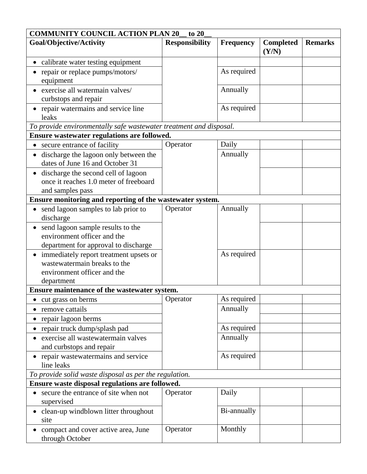| <b>COMMUNITY COUNCIL ACTION PLAN 20</b><br>to $20$                 |                       |             |                           |                |
|--------------------------------------------------------------------|-----------------------|-------------|---------------------------|----------------|
| Goal/Objective/Activity                                            | <b>Responsibility</b> | Frequency   | <b>Completed</b><br>(Y/N) | <b>Remarks</b> |
| calibrate water testing equipment                                  |                       |             |                           |                |
| repair or replace pumps/motors/                                    |                       | As required |                           |                |
| equipment                                                          |                       |             |                           |                |
| exercise all watermain valves/                                     |                       | Annually    |                           |                |
| curbstops and repair                                               |                       |             |                           |                |
| • repair watermains and service line                               |                       | As required |                           |                |
| leaks                                                              |                       |             |                           |                |
| To provide environmentally safe wastewater treatment and disposal. |                       |             |                           |                |
| Ensure wastewater regulations are followed.                        |                       |             |                           |                |
| secure entrance of facility<br>$\bullet$                           | Operator              | Daily       |                           |                |
| discharge the lagoon only between the                              |                       | Annually    |                           |                |
| dates of June 16 and October 31                                    |                       |             |                           |                |
| discharge the second cell of lagoon                                |                       |             |                           |                |
| once it reaches 1.0 meter of freeboard                             |                       |             |                           |                |
| and samples pass                                                   |                       |             |                           |                |
| Ensure monitoring and reporting of the wastewater system.          |                       |             |                           |                |
| send lagoon samples to lab prior to<br>discharge                   | Operator              | Annually    |                           |                |
| send lagoon sample results to the<br>$\bullet$                     |                       |             |                           |                |
| environment officer and the                                        |                       |             |                           |                |
| department for approval to discharge                               |                       |             |                           |                |
| immediately report treatment upsets or                             |                       | As required |                           |                |
| wastewatermain breaks to the                                       |                       |             |                           |                |
| environment officer and the                                        |                       |             |                           |                |
| department                                                         |                       |             |                           |                |
| Ensure maintenance of the wastewater system.                       |                       |             |                           |                |
| cut grass on berms                                                 | Operator              | As required |                           |                |
| remove cattails                                                    |                       | Annually    |                           |                |
| repair lagoon berms                                                |                       |             |                           |                |
| repair truck dump/splash pad                                       |                       | As required |                           |                |
| exercise all wastewatermain valves                                 |                       | Annually    |                           |                |
| and curbstops and repair                                           |                       |             |                           |                |
| repair wastewatermains and service<br>line leaks                   |                       | As required |                           |                |
| To provide solid waste disposal as per the regulation.             |                       |             |                           |                |
| Ensure waste disposal regulations are followed.                    |                       |             |                           |                |
| secure the entrance of site when not<br>$\bullet$                  | Operator              | Daily       |                           |                |
| supervised                                                         |                       |             |                           |                |
| clean-up windblown litter throughout                               |                       | Bi-annually |                           |                |
| site                                                               |                       |             |                           |                |
| compact and cover active area, June<br>through October             | Operator              | Monthly     |                           |                |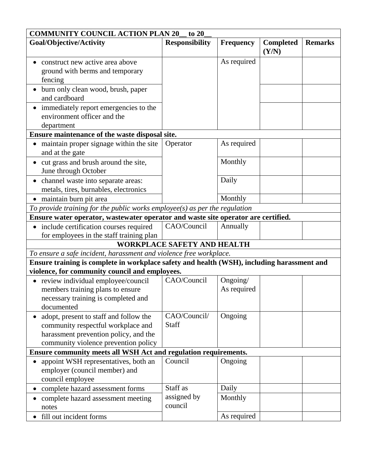| <b>COMMUNITY COUNCIL ACTION PLAN 20</b><br>to 20                                           |                                                                                   |                  |                           |                |  |
|--------------------------------------------------------------------------------------------|-----------------------------------------------------------------------------------|------------------|---------------------------|----------------|--|
| Goal/Objective/Activity                                                                    | <b>Responsibility</b>                                                             | <b>Frequency</b> | <b>Completed</b><br>(Y/N) | <b>Remarks</b> |  |
| construct new active area above                                                            |                                                                                   | As required      |                           |                |  |
| ground with berms and temporary                                                            |                                                                                   |                  |                           |                |  |
| fencing                                                                                    |                                                                                   |                  |                           |                |  |
| burn only clean wood, brush, paper                                                         |                                                                                   |                  |                           |                |  |
| and cardboard                                                                              |                                                                                   |                  |                           |                |  |
| immediately report emergencies to the                                                      |                                                                                   |                  |                           |                |  |
| environment officer and the                                                                |                                                                                   |                  |                           |                |  |
| department                                                                                 |                                                                                   |                  |                           |                |  |
| Ensure maintenance of the waste disposal site.                                             |                                                                                   |                  |                           |                |  |
| maintain proper signage within the site<br>and at the gate                                 | Operator                                                                          | As required      |                           |                |  |
| cut grass and brush around the site,                                                       |                                                                                   | Monthly          |                           |                |  |
| June through October                                                                       |                                                                                   |                  |                           |                |  |
| • channel waste into separate areas:                                                       |                                                                                   | Daily            |                           |                |  |
| metals, tires, burnables, electronics                                                      |                                                                                   |                  |                           |                |  |
| · maintain burn pit area                                                                   |                                                                                   | Monthly          |                           |                |  |
| To provide training for the public works employee(s) as per the regulation                 |                                                                                   |                  |                           |                |  |
|                                                                                            | Ensure water operator, wastewater operator and waste site operator are certified. |                  |                           |                |  |
| include certification courses required                                                     | CAO/Council                                                                       | Annually         |                           |                |  |
| for employees in the staff training plan                                                   |                                                                                   |                  |                           |                |  |
|                                                                                            | <b>WORKPLACE SAFETY AND HEALTH</b>                                                |                  |                           |                |  |
| To ensure a safe incident, harassment and violence free workplace.                         |                                                                                   |                  |                           |                |  |
| Ensure training is complete in workplace safety and health (WSH), including harassment and |                                                                                   |                  |                           |                |  |
| violence, for community council and employees.                                             |                                                                                   |                  |                           |                |  |
| review individual employee/council                                                         | CAO/Council                                                                       | Ongoing/         |                           |                |  |
| members training plans to ensure                                                           |                                                                                   | As required      |                           |                |  |
| necessary training is completed and<br>documented                                          |                                                                                   |                  |                           |                |  |
|                                                                                            | CAO/Council/                                                                      | Ongoing          |                           |                |  |
| adopt, present to staff and follow the<br>community respectful workplace and               | <b>Staff</b>                                                                      |                  |                           |                |  |
| harassment prevention policy, and the                                                      |                                                                                   |                  |                           |                |  |
| community violence prevention policy                                                       |                                                                                   |                  |                           |                |  |
| <b>Ensure community meets all WSH Act and regulation requirements.</b>                     |                                                                                   |                  |                           |                |  |
| appoint WSH representatives, both an                                                       | Council                                                                           | Ongoing          |                           |                |  |
| employer (council member) and                                                              |                                                                                   |                  |                           |                |  |
| council employee                                                                           |                                                                                   |                  |                           |                |  |
| complete hazard assessment forms<br>$\bullet$                                              | Staff as                                                                          | Daily            |                           |                |  |
| complete hazard assessment meeting                                                         | assigned by                                                                       | Monthly          |                           |                |  |
| notes                                                                                      | council                                                                           |                  |                           |                |  |
| fill out incident forms                                                                    |                                                                                   | As required      |                           |                |  |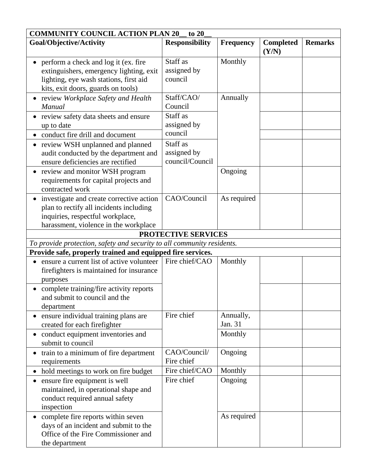| <b>COMMUNITY COUNCIL ACTION PLAN 20</b>                                                                                                                          | to 20                                      |                      |                           |                |
|------------------------------------------------------------------------------------------------------------------------------------------------------------------|--------------------------------------------|----------------------|---------------------------|----------------|
| Goal/Objective/Activity                                                                                                                                          | <b>Responsibility</b>                      | <b>Frequency</b>     | <b>Completed</b><br>(Y/N) | <b>Remarks</b> |
| perform a check and log it (ex. fire<br>extinguishers, emergency lighting, exit<br>lighting, eye wash stations, first aid<br>kits, exit doors, guards on tools)  | Staff as<br>assigned by<br>council         | Monthly              |                           |                |
| review Workplace Safety and Health<br><b>Manual</b>                                                                                                              | Staff/CAO/<br>Council                      | Annually             |                           |                |
| • review safety data sheets and ensure<br>up to date<br>conduct fire drill and document                                                                          | Staff as<br>assigned by<br>council         |                      |                           |                |
| review WSH unplanned and planned<br>audit conducted by the department and<br>ensure deficiencies are rectified                                                   | Staff as<br>assigned by<br>council/Council |                      |                           |                |
| review and monitor WSH program<br>requirements for capital projects and<br>contracted work                                                                       |                                            | Ongoing              |                           |                |
| investigate and create corrective action<br>plan to rectify all incidents including<br>inquiries, respectful workplace,<br>harassment, violence in the workplace | CAO/Council                                | As required          |                           |                |
|                                                                                                                                                                  | PROTECTIVE SERVICES                        |                      |                           |                |
| To provide protection, safety and security to all community residents.                                                                                           |                                            |                      |                           |                |
| Provide safe, properly trained and equipped fire services.                                                                                                       |                                            |                      |                           |                |
| ensure a current list of active volunteer<br>firefighters is maintained for insurance<br>purposes                                                                | Fire chief/CAO                             | Monthly              |                           |                |
| • complete training/fire activity reports<br>and submit to council and the<br>department                                                                         |                                            |                      |                           |                |
| ensure individual training plans are<br>created for each firefighter                                                                                             | Fire chief                                 | Annually,<br>Jan. 31 |                           |                |
| conduct equipment inventories and<br>submit to council                                                                                                           |                                            | Monthly              |                           |                |
| train to a minimum of fire department<br>requirements                                                                                                            | CAO/Council/<br>Fire chief                 | Ongoing              |                           |                |
| hold meetings to work on fire budget                                                                                                                             | Fire chief/CAO                             | Monthly              |                           |                |
| ensure fire equipment is well<br>maintained, in operational shape and<br>conduct required annual safety<br>inspection                                            | Fire chief                                 | Ongoing              |                           |                |
| complete fire reports within seven<br>days of an incident and submit to the<br>Office of the Fire Commissioner and<br>the department                             |                                            | As required          |                           |                |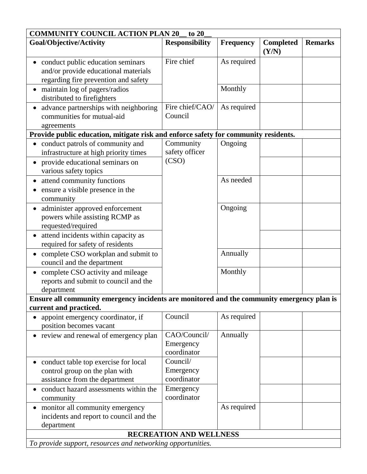| <b>COMMUNITY COUNCIL ACTION PLAN 20</b>                                                    | to 20                          |                  |                           |                |
|--------------------------------------------------------------------------------------------|--------------------------------|------------------|---------------------------|----------------|
| Goal/Objective/Activity                                                                    | <b>Responsibility</b>          | <b>Frequency</b> | <b>Completed</b><br>(Y/N) | <b>Remarks</b> |
| conduct public education seminars                                                          | Fire chief                     | As required      |                           |                |
| and/or provide educational materials                                                       |                                |                  |                           |                |
| regarding fire prevention and safety                                                       |                                |                  |                           |                |
| maintain log of pagers/radios                                                              |                                | Monthly          |                           |                |
| distributed to firefighters                                                                |                                |                  |                           |                |
| advance partnerships with neighboring                                                      | Fire chief/CAO/                | As required      |                           |                |
| communities for mutual-aid                                                                 | Council                        |                  |                           |                |
| agreements                                                                                 |                                |                  |                           |                |
| Provide public education, mitigate risk and enforce safety for community residents.        |                                |                  |                           |                |
| conduct patrols of community and                                                           | Community                      | Ongoing          |                           |                |
| infrastructure at high priority times                                                      | safety officer                 |                  |                           |                |
| provide educational seminars on                                                            | (CSO)                          |                  |                           |                |
| various safety topics                                                                      |                                |                  |                           |                |
| attend community functions                                                                 |                                | As needed        |                           |                |
| ensure a visible presence in the                                                           |                                |                  |                           |                |
| community                                                                                  |                                |                  |                           |                |
| administer approved enforcement                                                            |                                | Ongoing          |                           |                |
| powers while assisting RCMP as                                                             |                                |                  |                           |                |
| requested/required                                                                         |                                |                  |                           |                |
| attend incidents within capacity as                                                        |                                |                  |                           |                |
| required for safety of residents                                                           |                                |                  |                           |                |
| complete CSO workplan and submit to                                                        |                                | Annually         |                           |                |
| council and the department                                                                 |                                |                  |                           |                |
| complete CSO activity and mileage                                                          |                                | Monthly          |                           |                |
| reports and submit to council and the                                                      |                                |                  |                           |                |
| department                                                                                 |                                |                  |                           |                |
| Ensure all community emergency incidents are monitored and the community emergency plan is |                                |                  |                           |                |
| current and practiced.                                                                     |                                |                  |                           |                |
| appoint emergency coordinator, if<br>$\bullet$                                             | Council                        | As required      |                           |                |
| position becomes vacant                                                                    |                                |                  |                           |                |
| • review and renewal of emergency plan                                                     | CAO/Council/                   | Annually         |                           |                |
|                                                                                            | Emergency                      |                  |                           |                |
|                                                                                            | coordinator                    |                  |                           |                |
| conduct table top exercise for local                                                       | Council/                       |                  |                           |                |
| control group on the plan with                                                             | Emergency                      |                  |                           |                |
| assistance from the department                                                             | coordinator                    |                  |                           |                |
| conduct hazard assessments within the                                                      | Emergency                      |                  |                           |                |
| community                                                                                  | coordinator                    |                  |                           |                |
| monitor all community emergency                                                            |                                | As required      |                           |                |
| incidents and report to council and the                                                    |                                |                  |                           |                |
| department                                                                                 |                                |                  |                           |                |
|                                                                                            | <b>RECREATION AND WELLNESS</b> |                  |                           |                |
| To provide support, resources and networking opportunities.                                |                                |                  |                           |                |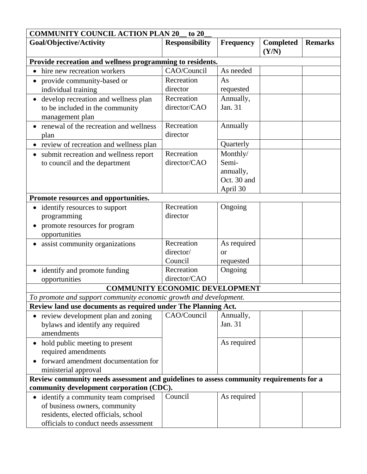| <b>COMMUNITY COUNCIL ACTION PLAN 20</b><br>to 20                                                                                                      |                            |                                      |                           |                |
|-------------------------------------------------------------------------------------------------------------------------------------------------------|----------------------------|--------------------------------------|---------------------------|----------------|
| Goal/Objective/Activity                                                                                                                               | <b>Responsibility</b>      | <b>Frequency</b>                     | <b>Completed</b><br>(Y/N) | <b>Remarks</b> |
| Provide recreation and wellness programming to residents.                                                                                             |                            |                                      |                           |                |
| hire new recreation workers                                                                                                                           | CAO/Council                | As needed                            |                           |                |
| provide community-based or                                                                                                                            | Recreation                 | As                                   |                           |                |
| individual training                                                                                                                                   | director                   | requested                            |                           |                |
| develop recreation and wellness plan<br>$\bullet$<br>to be included in the community<br>management plan                                               | Recreation<br>director/CAO | Annually,<br>Jan. 31                 |                           |                |
| renewal of the recreation and wellness<br>plan                                                                                                        | Recreation<br>director     | Annually                             |                           |                |
| review of recreation and wellness plan                                                                                                                |                            | Quarterly                            |                           |                |
| submit recreation and wellness report                                                                                                                 | Recreation                 | Monthly/                             |                           |                |
| to council and the department                                                                                                                         | director/CAO               | Semi-                                |                           |                |
|                                                                                                                                                       |                            | annually,<br>Oct. 30 and<br>April 30 |                           |                |
| Promote resources and opportunities.                                                                                                                  |                            |                                      |                           |                |
| identify resources to support<br>programming<br>promote resources for program<br>opportunities                                                        | Recreation<br>director     | Ongoing                              |                           |                |
| • assist community organizations                                                                                                                      | Recreation                 | As required                          |                           |                |
|                                                                                                                                                       | director/<br>Council       | or<br>requested                      |                           |                |
| identify and promote funding<br>opportunities                                                                                                         | Recreation<br>director/CAO | Ongoing                              |                           |                |
| <b>COMMUNITY ECONOMIC DEVELOPMENT</b>                                                                                                                 |                            |                                      |                           |                |
| To promote and support community economic growth and development.                                                                                     |                            |                                      |                           |                |
| Review land use documents as required under The Planning Act.                                                                                         |                            |                                      |                           |                |
| review development plan and zoning<br>bylaws and identify any required<br>amendments                                                                  | CAO/Council                | Annually,<br>Jan. 31                 |                           |                |
| • hold public meeting to present<br>required amendments                                                                                               |                            | As required                          |                           |                |
| forward amendment documentation for<br>ministerial approval                                                                                           |                            |                                      |                           |                |
| Review community needs assessment and guidelines to assess community requirements for a<br>community development corporation (CDC).                   |                            |                                      |                           |                |
| identify a community team comprised<br>of business owners, community<br>residents, elected officials, school<br>officials to conduct needs assessment | Council                    | As required                          |                           |                |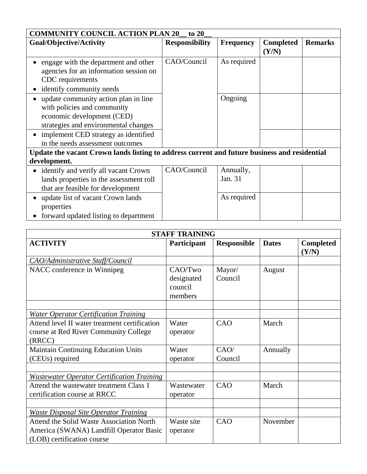| <b>COMMUNITY COUNCIL ACTION PLAN 20</b><br>to $20$                                                                                        |                       |                      |                           |                |
|-------------------------------------------------------------------------------------------------------------------------------------------|-----------------------|----------------------|---------------------------|----------------|
| Goal/Objective/Activity                                                                                                                   | <b>Responsibility</b> | <b>Frequency</b>     | <b>Completed</b><br>(Y/N) | <b>Remarks</b> |
| engage with the department and other<br>agencies for an information session on<br>CDC requirements<br>identify community needs            | CAO/Council           | As required          |                           |                |
| update community action plan in line<br>with policies and community<br>economic development (CED)<br>strategies and environmental changes |                       | Ongoing              |                           |                |
| • implement CED strategy as identified<br>in the needs assessment outcomes                                                                |                       |                      |                           |                |
| Update the vacant Crown lands listing to address current and future business and residential                                              |                       |                      |                           |                |
| development.                                                                                                                              |                       |                      |                           |                |
| • identify and verify all vacant Crown<br>lands properties in the assessment roll<br>that are feasible for development                    | CAO/Council           | Annually,<br>Jan. 31 |                           |                |
| update list of vacant Crown lands<br>properties                                                                                           |                       | As required          |                           |                |
| forward updated listing to department                                                                                                     |                       |                      |                           |                |

| <b>STAFF TRAINING</b>                             |             |                    |              |                           |  |
|---------------------------------------------------|-------------|--------------------|--------------|---------------------------|--|
| <b>ACTIVITY</b>                                   | Participant | <b>Responsible</b> | <b>Dates</b> | <b>Completed</b><br>(Y/N) |  |
| <b>CAO/Administrative Staff/Council</b>           |             |                    |              |                           |  |
| NACC conference in Winnipeg                       | CAO/Two     | Mayor/             | August       |                           |  |
|                                                   | designated  | Council            |              |                           |  |
|                                                   | council     |                    |              |                           |  |
|                                                   | members     |                    |              |                           |  |
|                                                   |             |                    |              |                           |  |
| <b>Water Operator Certification Training</b>      |             |                    |              |                           |  |
| Attend level II water treatment certification     | Water       | CAO                | March        |                           |  |
| course at Red River Community College             | operator    |                    |              |                           |  |
| (RRCC)                                            |             |                    |              |                           |  |
| <b>Maintain Continuing Education Units</b>        | Water       | CAO/               | Annually     |                           |  |
| (CEUs) required                                   | operator    | Council            |              |                           |  |
|                                                   |             |                    |              |                           |  |
| <b>Wastewater Operator Certification Training</b> |             |                    |              |                           |  |
| Attend the wastewater treatment Class 1           | Wastewater  | CAO                | March        |                           |  |
| certification course at RRCC                      | operator    |                    |              |                           |  |
|                                                   |             |                    |              |                           |  |
| <b>Waste Disposal Site Operator Training</b>      |             |                    |              |                           |  |
| <b>Attend the Solid Waste Association North</b>   | Waste site  | CAO                | November     |                           |  |
| America (SWANA) Landfill Operator Basic           | operator    |                    |              |                           |  |
| (LOB) certification course                        |             |                    |              |                           |  |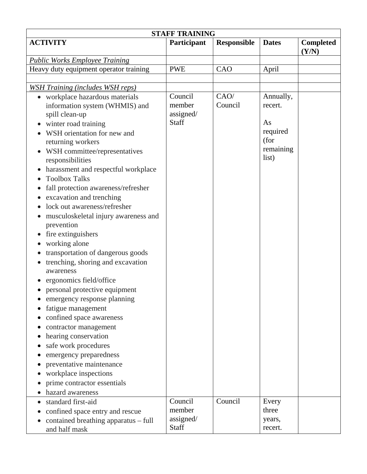| <b>STAFF TRAINING</b>                                                                                                                                                                                                                                                                                                                                                                                                                                                                                                                                                                                                                                                                                                                                                                                                                                                                        |                                         |                    |                                                                      |                           |  |
|----------------------------------------------------------------------------------------------------------------------------------------------------------------------------------------------------------------------------------------------------------------------------------------------------------------------------------------------------------------------------------------------------------------------------------------------------------------------------------------------------------------------------------------------------------------------------------------------------------------------------------------------------------------------------------------------------------------------------------------------------------------------------------------------------------------------------------------------------------------------------------------------|-----------------------------------------|--------------------|----------------------------------------------------------------------|---------------------------|--|
| <b>ACTIVITY</b>                                                                                                                                                                                                                                                                                                                                                                                                                                                                                                                                                                                                                                                                                                                                                                                                                                                                              | Participant                             | <b>Responsible</b> | <b>Dates</b>                                                         | <b>Completed</b><br>(Y/N) |  |
| <b>Public Works Employee Training</b>                                                                                                                                                                                                                                                                                                                                                                                                                                                                                                                                                                                                                                                                                                                                                                                                                                                        |                                         |                    |                                                                      |                           |  |
| Heavy duty equipment operator training                                                                                                                                                                                                                                                                                                                                                                                                                                                                                                                                                                                                                                                                                                                                                                                                                                                       | <b>PWE</b>                              | CAO                | April                                                                |                           |  |
|                                                                                                                                                                                                                                                                                                                                                                                                                                                                                                                                                                                                                                                                                                                                                                                                                                                                                              |                                         |                    |                                                                      |                           |  |
| <b>WSH Training (includes WSH reps)</b>                                                                                                                                                                                                                                                                                                                                                                                                                                                                                                                                                                                                                                                                                                                                                                                                                                                      |                                         |                    |                                                                      |                           |  |
| • workplace hazardous materials<br>information system (WHMIS) and<br>spill clean-up<br>winter road training<br>$\bullet$<br>WSH orientation for new and<br>returning workers<br>WSH committee/representatives<br>responsibilities<br>harassment and respectful workplace<br><b>Toolbox Talks</b><br>fall protection awareness/refresher<br>excavation and trenching<br>lock out awareness/refresher<br>musculoskeletal injury awareness and<br>prevention<br>fire extinguishers<br>working alone<br>transportation of dangerous goods<br>trenching, shoring and excavation<br>awareness<br>ergonomics field/office<br>personal protective equipment<br>emergency response planning<br>fatigue management<br>confined space awareness<br>contractor management<br>hearing conservation<br>safe work procedures<br>emergency preparedness<br>preventative maintenance<br>workplace inspections | Council<br>member<br>assigned/<br>Staff | CAO/<br>Council    | Annually,<br>recert.<br>As<br>required<br>(for<br>remaining<br>list) |                           |  |
| prime contractor essentials                                                                                                                                                                                                                                                                                                                                                                                                                                                                                                                                                                                                                                                                                                                                                                                                                                                                  |                                         |                    |                                                                      |                           |  |
| hazard awareness                                                                                                                                                                                                                                                                                                                                                                                                                                                                                                                                                                                                                                                                                                                                                                                                                                                                             |                                         |                    |                                                                      |                           |  |
| standard first-aid<br>confined space entry and rescue<br>contained breathing apparatus - full<br>and half mask                                                                                                                                                                                                                                                                                                                                                                                                                                                                                                                                                                                                                                                                                                                                                                               | Council<br>member<br>assigned/<br>Staff | Council            | Every<br>three<br>years,<br>recert.                                  |                           |  |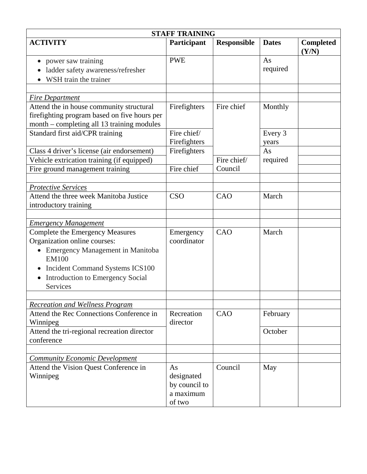| <b>STAFF TRAINING</b>                                                                                                                                                                                                                                                   |                                                          |                    |                  |                           |  |
|-------------------------------------------------------------------------------------------------------------------------------------------------------------------------------------------------------------------------------------------------------------------------|----------------------------------------------------------|--------------------|------------------|---------------------------|--|
| <b>ACTIVITY</b>                                                                                                                                                                                                                                                         | Participant                                              | <b>Responsible</b> | <b>Dates</b>     | <b>Completed</b><br>(Y/N) |  |
| power saw training<br>ladder safety awareness/refresher<br>WSH train the trainer                                                                                                                                                                                        | <b>PWE</b>                                               |                    | As<br>required   |                           |  |
| <b>Fire Department</b>                                                                                                                                                                                                                                                  |                                                          |                    |                  |                           |  |
| Attend the in house community structural<br>firefighting program based on five hours per<br>month - completing all 13 training modules                                                                                                                                  | Firefighters                                             | Fire chief         | Monthly          |                           |  |
| Standard first aid/CPR training                                                                                                                                                                                                                                         | Fire chief/<br>Firefighters                              |                    | Every 3<br>years |                           |  |
| Class 4 driver's license (air endorsement)<br>Vehicle extrication training (if equipped)                                                                                                                                                                                | Firefighters                                             | Fire chief/        | As<br>required   |                           |  |
| Fire ground management training                                                                                                                                                                                                                                         | Fire chief                                               | Council            |                  |                           |  |
| <b>Protective Services</b>                                                                                                                                                                                                                                              |                                                          |                    |                  |                           |  |
| Attend the three week Manitoba Justice<br>introductory training                                                                                                                                                                                                         | <b>CSO</b>                                               | CAO                | March            |                           |  |
|                                                                                                                                                                                                                                                                         |                                                          |                    |                  |                           |  |
| <b>Emergency Management</b><br><b>Complete the Emergency Measures</b><br>Organization online courses:<br><b>Emergency Management in Manitoba</b><br>EM100<br><b>Incident Command Systems ICS100</b><br>Introduction to Emergency Social<br>$\bullet$<br><b>Services</b> | Emergency<br>coordinator                                 | CAO                | March            |                           |  |
| <b>Recreation and Wellness Program</b>                                                                                                                                                                                                                                  |                                                          |                    |                  |                           |  |
| Attend the Rec Connections Conference in<br>Winnipeg                                                                                                                                                                                                                    | Recreation<br>director                                   | CAO                | February         |                           |  |
| Attend the tri-regional recreation director<br>conference                                                                                                                                                                                                               |                                                          |                    | October          |                           |  |
|                                                                                                                                                                                                                                                                         |                                                          |                    |                  |                           |  |
| <b>Community Economic Development</b><br>Attend the Vision Quest Conference in<br>Winnipeg                                                                                                                                                                              | As<br>designated<br>by council to<br>a maximum<br>of two | Council            | May              |                           |  |